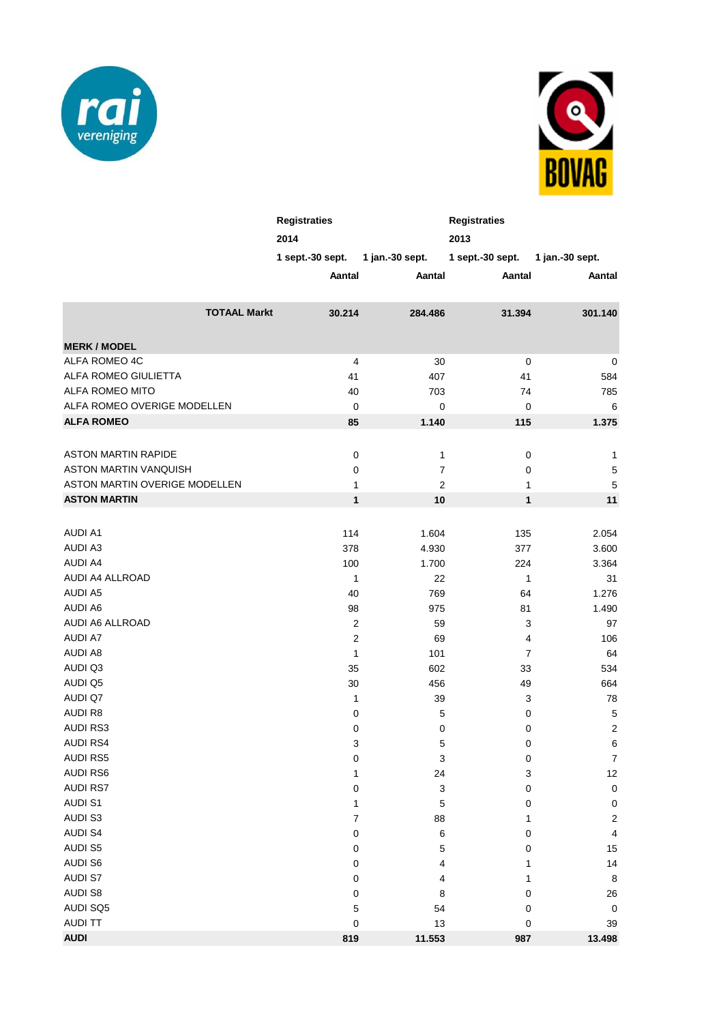



|                               |                     | <b>Registraties</b><br>2014 |                         | <b>Registraties</b><br>2013 |                  |
|-------------------------------|---------------------|-----------------------------|-------------------------|-----------------------------|------------------|
|                               |                     | $1$ sept.-30 sept.          | 1 jan.-30 sept.         | 1 sept. $-30$ sept.         | 1 jan.-30 sept.  |
|                               |                     | Aantal                      | Aantal                  | Aantal                      | Aantal           |
|                               | <b>TOTAAL Markt</b> | 30.214                      | 284.486                 | 31.394                      | 301.140          |
| <b>MERK / MODEL</b>           |                     |                             |                         |                             |                  |
| ALFA ROMEO 4C                 |                     | 4                           | 30                      | $\pmb{0}$                   | 0                |
| ALFA ROMEO GIULIETTA          |                     | 41                          | 407                     | 41                          | 584              |
| ALFA ROMEO MITO               |                     | 40                          | 703                     | 74                          | 785              |
| ALFA ROMEO OVERIGE MODELLEN   |                     | $\pmb{0}$                   | $\mathbf 0$             | $\mathbf 0$                 | 6                |
| <b>ALFA ROMEO</b>             |                     | 85                          | 1.140                   | 115                         | 1.375            |
|                               |                     |                             |                         |                             |                  |
| <b>ASTON MARTIN RAPIDE</b>    |                     | 0                           | 1                       | $\mathbf 0$                 | 1                |
| ASTON MARTIN VANQUISH         |                     | 0                           | $\boldsymbol{7}$        | 0                           | $\mathbf 5$      |
| ASTON MARTIN OVERIGE MODELLEN |                     | 1                           | $\overline{\mathbf{c}}$ | 1                           | 5                |
| <b>ASTON MARTIN</b>           |                     | $\mathbf{1}$                | 10                      | $\mathbf{1}$                | 11               |
|                               |                     |                             |                         |                             |                  |
| <b>AUDI A1</b>                |                     | 114                         | 1.604                   | 135                         | 2.054            |
| <b>AUDI A3</b>                |                     |                             |                         |                             |                  |
| <b>AUDI A4</b>                |                     | 378                         | 4.930                   | 377                         | 3.600            |
| AUDI A4 ALLROAD               |                     | 100<br>1                    | 1.700<br>22             | 224<br>$\mathbf{1}$         | 3.364<br>31      |
| <b>AUDI A5</b>                |                     | 40                          | 769                     | 64                          | 1.276            |
| <b>AUDI A6</b>                |                     | 98                          | 975                     | 81                          | 1.490            |
| AUDI A6 ALLROAD               |                     | $\overline{c}$              | 59                      | 3                           | 97               |
| <b>AUDI A7</b>                |                     | $\overline{c}$              | 69                      | $\overline{\mathbf{4}}$     | 106              |
| <b>AUDI A8</b>                |                     | $\mathbf{1}$                | 101                     | $\overline{7}$              | 64               |
| AUDI Q3                       |                     | 35                          | 602                     | 33                          | 534              |
| AUDI Q5                       |                     | 30                          | 456                     | 49                          | 664              |
| AUDI Q7                       |                     | 1                           | 39                      | 3                           | 78               |
| <b>AUDIR8</b>                 |                     | 0                           | 5                       | $\mathbf 0$                 | 5                |
| <b>AUDI RS3</b>               |                     | 0                           | $\mathbf 0$             | $\pmb{0}$                   | $\overline{c}$   |
| <b>AUDI RS4</b>               |                     | 3                           | 5                       | $\mathbf 0$                 | 6                |
| <b>AUDI RS5</b>               |                     | 0                           | 3                       | 0                           | $\overline{7}$   |
| <b>AUDI RS6</b>               |                     | 1                           | 24                      | 3                           | $12\,$           |
| <b>AUDI RS7</b>               |                     | 0                           | 3                       | 0                           | $\mathbf 0$      |
| <b>AUDI S1</b>                |                     | 1                           | 5                       | 0                           | $\pmb{0}$        |
| AUDI S3                       |                     | 7                           | 88                      | 1                           | $\boldsymbol{2}$ |
| <b>AUDI S4</b>                |                     | 0                           | 6                       | 0                           | 4                |
| <b>AUDI S5</b>                |                     | 0                           | 5                       | 0                           | 15               |
| <b>AUDI S6</b>                |                     | 0                           | 4                       | 1                           | 14               |
| <b>AUDI S7</b>                |                     | 0                           | 4                       | 1                           | $\,8\,$          |
| <b>AUDI S8</b>                |                     | 0                           | 8                       | 0                           | 26               |
| AUDI SQ5                      |                     | 5                           | 54                      | $\mathbf 0$                 | $\pmb{0}$        |
| <b>AUDI TT</b>                |                     | 0                           | 13                      | $\pmb{0}$                   | 39               |
| <b>AUDI</b>                   |                     | 819                         | 11.553                  | 987                         | 13.498           |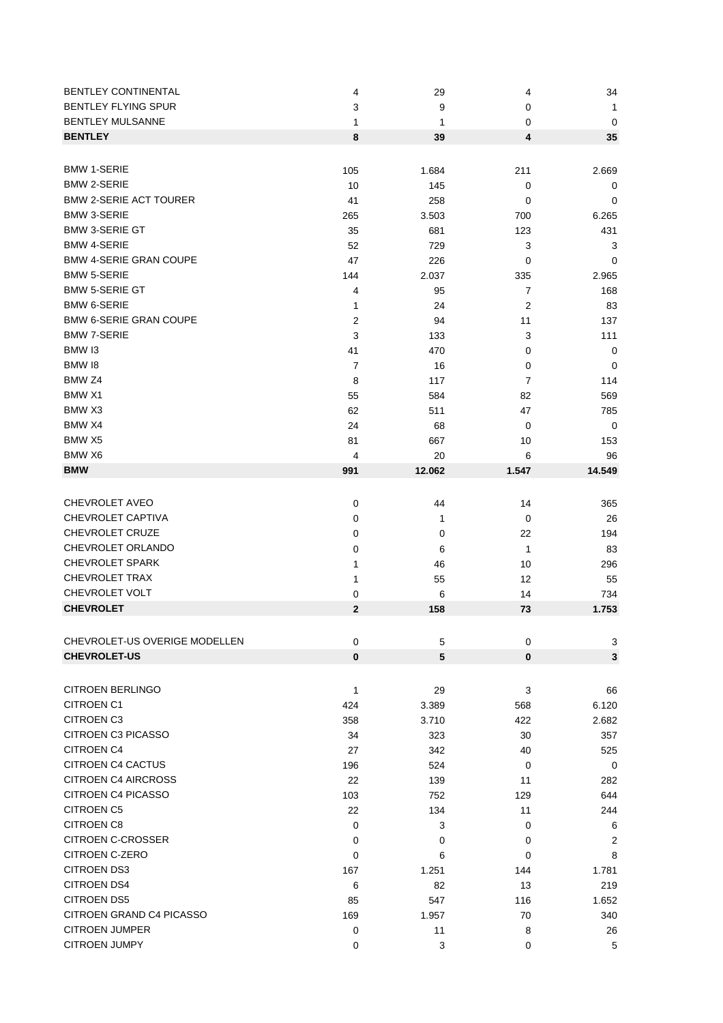| <b>BENTLEY CONTINENTAL</b>    | 4              | 29     | 4              | 34           |
|-------------------------------|----------------|--------|----------------|--------------|
| <b>BENTLEY FLYING SPUR</b>    | 3              | 9      | 0              | 1            |
| <b>BENTLEY MULSANNE</b>       | 1              | 1      | 0              | $\mathbf 0$  |
| <b>BENTLEY</b>                | 8              | 39     | 4              | 35           |
|                               |                |        |                |              |
| <b>BMW 1-SERIE</b>            | 105            | 1.684  | 211            | 2.669        |
| <b>BMW 2-SERIE</b>            | 10             | 145    | 0              | 0            |
| <b>BMW 2-SERIE ACT TOURER</b> | 41             | 258    | 0              | 0            |
| <b>BMW 3-SERIE</b>            | 265            | 3.503  | 700            | 6.265        |
| <b>BMW 3-SERIE GT</b>         | 35             | 681    | 123            | 431          |
| <b>BMW 4-SERIE</b>            | 52             | 729    | 3              | 3            |
| <b>BMW 4-SERIE GRAN COUPE</b> | 47             | 226    | 0              | 0            |
| <b>BMW 5-SERIE</b>            | 144            | 2.037  | 335            | 2.965        |
| <b>BMW 5-SERIE GT</b>         | 4              | 95     | $\overline{7}$ | 168          |
| <b>BMW 6-SERIE</b>            |                |        |                |              |
| <b>BMW 6-SERIE GRAN COUPE</b> | 1              | 24     | 2              | 83           |
| <b>BMW 7-SERIE</b>            | 2              | 94     | 11             | 137          |
| BMW <sub>13</sub>             | 3              | 133    | 3              | 111          |
|                               | 41             | 470    | 0              | 0            |
| BMW 18                        | $\overline{7}$ | 16     | 0              | 0            |
| BMW <sub>Z4</sub>             | 8              | 117    | 7              | 114          |
| BMW X1                        | 55             | 584    | 82             | 569          |
| BMW X3                        | 62             | 511    | 47             | 785          |
| BMW X4                        | 24             | 68     | 0              | $\mathbf 0$  |
| BMW X5                        | 81             | 667    | 10             | 153          |
| BMW X6                        | 4              | 20     | 6              | 96           |
| <b>BMW</b>                    | 991            | 12.062 | 1.547          | 14.549       |
|                               |                |        |                |              |
| <b>CHEVROLET AVEO</b>         | $\pmb{0}$      | 44     | 14             | 365          |
| CHEVROLET CAPTIVA             | 0              | 1      | 0              | 26           |
| <b>CHEVROLET CRUZE</b>        | 0              | 0      | 22             | 194          |
| CHEVROLET ORLANDO             | 0              | 6      | 1              | 83           |
| <b>CHEVROLET SPARK</b>        | 1              | 46     | 10             | 296          |
| CHEVROLET TRAX                | 1              | 55     | 12             | 55           |
| CHEVROLET VOLT                | 0              | 6      | 14             | 734          |
| <b>CHEVROLET</b>              | 2              | 158    | 73             | 1.753        |
|                               |                |        |                |              |
| CHEVROLET-US OVERIGE MODELLEN | $\pmb{0}$      | 5      | $\pmb{0}$      | 3            |
| <b>CHEVROLET-US</b>           | $\bf{0}$       | 5      | $\mathbf 0$    | $\mathbf{3}$ |
|                               |                |        |                |              |
| <b>CITROEN BERLINGO</b>       | 1              | 29     | 3              | 66           |
| <b>CITROEN C1</b>             |                |        |                |              |
| <b>CITROEN C3</b>             | 424            | 3.389  | 568            | 6.120        |
| <b>CITROEN C3 PICASSO</b>     | 358            | 3.710  | 422            | 2.682        |
| <b>CITROEN C4</b>             | 34             | 323    | 30             | 357          |
| <b>CITROEN C4 CACTUS</b>      | 27             | 342    | 40             | 525          |
| <b>CITROEN C4 AIRCROSS</b>    | 196            | 524    | 0              | 0            |
|                               | 22             | 139    | 11             | 282          |
| <b>CITROEN C4 PICASSO</b>     | 103            | 752    | 129            | 644          |
| <b>CITROEN C5</b>             | 22             | 134    | 11             | 244          |
| CITROEN C8                    | 0              | 3      | 0              | 6            |
| <b>CITROEN C-CROSSER</b>      | 0              | 0      | 0              | 2            |
| CITROEN C-ZERO                | 0              | 6      | 0              | 8            |
| <b>CITROEN DS3</b>            | 167            | 1.251  | 144            | 1.781        |
| <b>CITROEN DS4</b>            | 6              | 82     | 13             | 219          |
| <b>CITROEN DS5</b>            | 85             | 547    | 116            | 1.652        |
| CITROEN GRAND C4 PICASSO      | 169            | 1.957  | 70             | 340          |
| <b>CITROEN JUMPER</b>         | 0              | 11     | 8              | 26           |
| CITROEN JUMPY                 | 0              | 3      | 0              | 5            |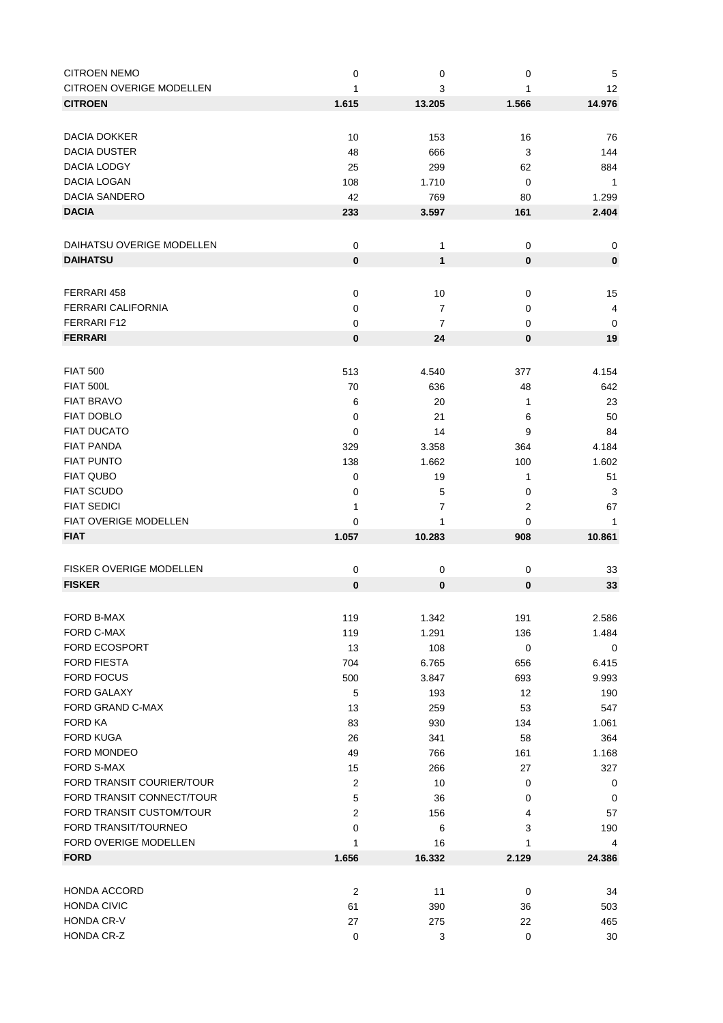| <b>CITROEN NEMO</b>             | 0                | $\pmb{0}$      | 0              | 5                       |
|---------------------------------|------------------|----------------|----------------|-------------------------|
| <b>CITROEN OVERIGE MODELLEN</b> | 1                | 3              | 1              | 12                      |
| <b>CITROEN</b>                  | 1.615            | 13.205         | 1.566          | 14.976                  |
|                                 |                  |                |                |                         |
|                                 |                  |                |                |                         |
| DACIA DOKKER                    | 10               | 153            | 16             | 76                      |
| <b>DACIA DUSTER</b>             | 48               | 666            | 3              | 144                     |
| <b>DACIA LODGY</b>              | 25               | 299            | 62             | 884                     |
| DACIA LOGAN                     | 108              | 1.710          | 0              | $\mathbf{1}$            |
| DACIA SANDERO                   | 42               | 769            | 80             | 1.299                   |
| <b>DACIA</b>                    | 233              | 3.597          | 161            | 2.404                   |
|                                 |                  |                |                |                         |
| DAIHATSU OVERIGE MODELLEN       | 0                | 1              | 0              | 0                       |
| <b>DAIHATSU</b>                 |                  |                |                |                         |
|                                 | $\pmb{0}$        | $\mathbf{1}$   | $\bf{0}$       | $\bf{0}$                |
|                                 |                  |                |                |                         |
| FERRARI 458                     | $\mathbf 0$      | 10             | 0              | 15                      |
| <b>FERRARI CALIFORNIA</b>       | 0                | 7              | 0              | $\overline{\mathbf{4}}$ |
| FERRARI F12                     | 0                | $\overline{7}$ | 0              | 0                       |
| <b>FERRARI</b>                  | 0                | 24             | 0              | 19                      |
|                                 |                  |                |                |                         |
|                                 |                  |                |                |                         |
| <b>FIAT 500</b>                 | 513              | 4.540          | 377            | 4.154                   |
| <b>FIAT 500L</b>                | 70               | 636            | 48             | 642                     |
| <b>FIAT BRAVO</b>               | 6                | 20             | 1              | 23                      |
| <b>FIAT DOBLO</b>               | 0                | 21             | 6              | 50                      |
| <b>FIAT DUCATO</b>              | 0                | 14             | 9              | 84                      |
| <b>FIAT PANDA</b>               | 329              | 3.358          | 364            | 4.184                   |
| <b>FIAT PUNTO</b>               | 138              | 1.662          | 100            | 1.602                   |
| <b>FIAT QUBO</b>                | 0                | 19             | 1              | 51                      |
| <b>FIAT SCUDO</b>               |                  | 5              |                | 3                       |
|                                 | 0                |                | 0              |                         |
| <b>FIAT SEDICI</b>              | 1                | 7              | $\overline{2}$ | 67                      |
| FIAT OVERIGE MODELLEN           | 0                | 1              | 0              | 1                       |
| <b>FIAT</b>                     | 1.057            | 10.283         | 908            | 10.861                  |
|                                 |                  |                |                |                         |
| FISKER OVERIGE MODELLEN         | $\pmb{0}$        | $\mathbf 0$    | 0              | 33                      |
| <b>FISKER</b>                   | $\bf{0}$         | 0              | $\bf{0}$       | 33                      |
|                                 |                  |                |                |                         |
|                                 |                  |                |                |                         |
| FORD B-MAX                      | 119              | 1.342          | 191            | 2.586                   |
| FORD C-MAX                      | 119              | 1.291          | 136            | 1.484                   |
| FORD ECOSPORT                   | 13               | 108            | 0              | 0                       |
| <b>FORD FIESTA</b>              | 704              | 6.765          | 656            | 6.415                   |
| <b>FORD FOCUS</b>               | 500              | 3.847          | 693            | 9.993                   |
| <b>FORD GALAXY</b>              | 5                | 193            | 12             | 190                     |
| FORD GRAND C-MAX                | 13               | 259            | 53             | 547                     |
| FORD KA                         | 83               | 930            | 134            | 1.061                   |
| <b>FORD KUGA</b>                | 26               | 341            | 58             | 364                     |
| FORD MONDEO                     |                  |                |                |                         |
|                                 | 49               | 766            | 161            | 1.168                   |
| <b>FORD S-MAX</b>               | 15               | 266            | 27             | 327                     |
| FORD TRANSIT COURIER/TOUR       | $\overline{2}$   | 10             | 0              | 0                       |
| FORD TRANSIT CONNECT/TOUR       | 5                | 36             | 0              | 0                       |
| FORD TRANSIT CUSTOM/TOUR        | 2                | 156            | 4              | 57                      |
| FORD TRANSIT/TOURNEO            | 0                | 6              | 3              | 190                     |
| FORD OVERIGE MODELLEN           | 1                | 16             | 1              | 4                       |
| <b>FORD</b>                     | 1.656            | 16.332         | 2.129          | 24.386                  |
|                                 |                  |                |                |                         |
|                                 |                  |                |                |                         |
| <b>HONDA ACCORD</b>             | $\boldsymbol{2}$ | 11             | $\pmb{0}$      | 34                      |
| <b>HONDA CIVIC</b>              | 61               | 390            | 36             | 503                     |
| HONDA CR-V                      | 27               | 275            | 22             | 465                     |
| HONDA CR-Z                      |                  |                |                |                         |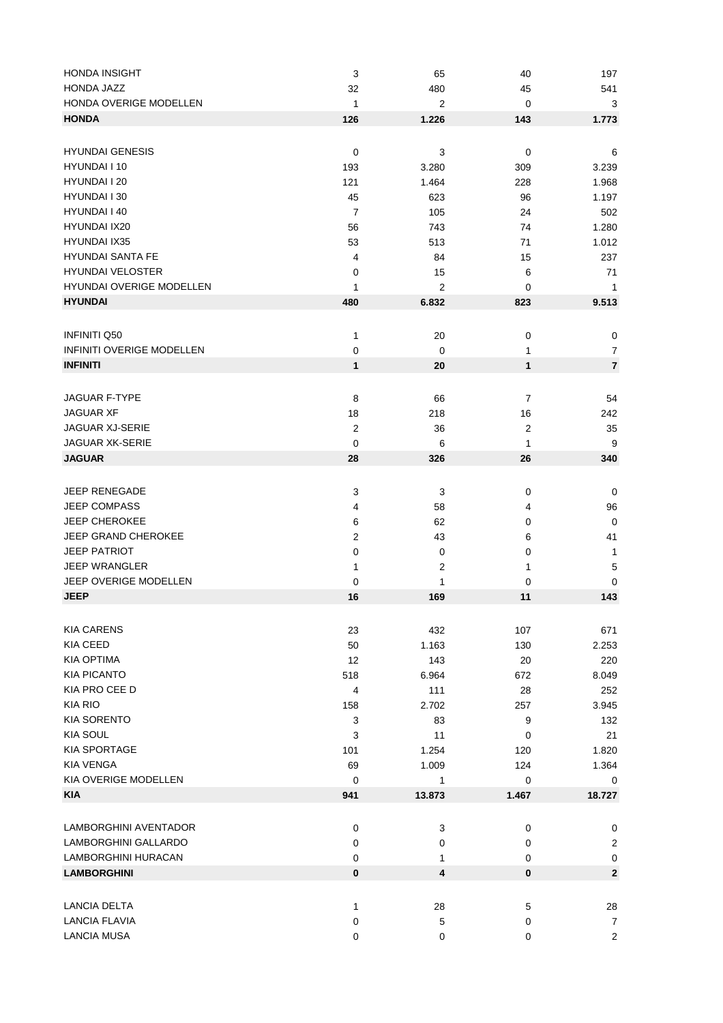| <b>HONDA INSIGHT</b>             | 3                | 65                      | 40               | 197            |
|----------------------------------|------------------|-------------------------|------------------|----------------|
| HONDA JAZZ                       | 32               | 480                     | 45               | 541            |
| HONDA OVERIGE MODELLEN           | 1                | 2                       | 0                | 3              |
| <b>HONDA</b>                     | 126              | 1.226                   | 143              | 1.773          |
|                                  |                  |                         |                  |                |
| <b>HYUNDAI GENESIS</b>           | $\mathbf 0$      | 3                       | 0                | 6              |
| HYUNDAI I 10                     | 193              | 3.280                   | 309              | 3.239          |
| HYUNDAI I 20                     | 121              | 1.464                   | 228              | 1.968          |
| HYUNDAI I 30                     | 45               | 623                     | 96               | 1.197          |
| HYUNDAI I 40                     | $\overline{7}$   | 105                     | 24               | 502            |
| HYUNDAI IX20                     | 56               | 743                     | 74               | 1.280          |
| <b>HYUNDAI IX35</b>              | 53               | 513                     | 71               | 1.012          |
| <b>HYUNDAI SANTA FE</b>          | 4                | 84                      | 15               | 237            |
| <b>HYUNDAI VELOSTER</b>          |                  |                         |                  |                |
|                                  | 0                | 15                      | 6                | 71             |
| HYUNDAI OVERIGE MODELLEN         | 1                | 2                       | 0                | 1              |
| <b>HYUNDAI</b>                   | 480              | 6.832                   | 823              | 9.513          |
|                                  |                  |                         |                  |                |
| <b>INFINITI Q50</b>              | 1                | 20                      | 0                | 0              |
| <b>INFINITI OVERIGE MODELLEN</b> | 0                | $\mathbf 0$             | 1                | $\overline{7}$ |
| <b>INFINITI</b>                  | 1                | 20                      | 1                | $\overline{7}$ |
|                                  |                  |                         |                  |                |
| <b>JAGUAR F-TYPE</b>             | 8                | 66                      | 7                | 54             |
| <b>JAGUAR XF</b>                 | 18               | 218                     | 16               | 242            |
| JAGUAR XJ-SERIE                  | $\overline{2}$   | 36                      | $\boldsymbol{2}$ | 35             |
| <b>JAGUAR XK-SERIE</b>           | $\mathbf 0$      | 6                       | 1                | 9              |
| <b>JAGUAR</b>                    | 28               | 326                     | 26               | 340            |
|                                  |                  |                         |                  |                |
|                                  |                  |                         |                  |                |
| <b>JEEP RENEGADE</b>             | 3                | 3                       | 0                | 0              |
| <b>JEEP COMPASS</b>              | 4                | 58                      | 4                | 96             |
| <b>JEEP CHEROKEE</b>             | 6                | 62                      | 0                | $\mathbf 0$    |
| <b>JEEP GRAND CHEROKEE</b>       | $\boldsymbol{2}$ | 43                      | 6                | 41             |
| <b>JEEP PATRIOT</b>              | 0                | $\mathbf 0$             | 0                | 1              |
| <b>JEEP WRANGLER</b>             | 1                | $\overline{2}$          | 1                | 5              |
| JEEP OVERIGE MODELLEN            | 0                | $\mathbf{1}$            | 0                | $\mathbf 0$    |
| <b>JEEP</b>                      | 16               | 169                     | 11               | 143            |
|                                  |                  |                         |                  |                |
| <b>KIA CARENS</b>                | 23               | 432                     | 107              | 671            |
| <b>KIA CEED</b>                  | 50               | 1.163                   | 130              | 2.253          |
| <b>KIA OPTIMA</b>                | 12               | 143                     | 20               | 220            |
| <b>KIA PICANTO</b>               | 518              | 6.964                   | 672              | 8.049          |
| KIA PRO CEE D                    | 4                | 111                     | 28               | 252            |
| KIA RIO                          | 158              | 2.702                   | 257              | 3.945          |
| <b>KIA SORENTO</b>               | 3                | 83                      | 9                | 132            |
| <b>KIA SOUL</b>                  |                  |                         |                  |                |
|                                  | 3                | 11                      | 0                | 21             |
| <b>KIA SPORTAGE</b>              | 101              | 1.254                   | 120              | 1.820          |
| <b>KIA VENGA</b>                 | 69               | 1.009                   | 124              | 1.364          |
| KIA OVERIGE MODELLEN             | 0                | 1                       | 0                | 0              |
| <b>KIA</b>                       | 941              | 13.873                  | 1.467            | 18.727         |
|                                  |                  |                         |                  |                |
| LAMBORGHINI AVENTADOR            | 0                | 3                       | 0                | 0              |
| LAMBORGHINI GALLARDO             | 0                | 0                       | 0                | 2              |
| LAMBORGHINI HURACAN              | 0                | 1                       | 0                | $\mathbf 0$    |
| <b>LAMBORGHINI</b>               | $\pmb{0}$        | $\overline{\mathbf{4}}$ | 0                | $\mathbf{2}$   |
|                                  |                  |                         |                  |                |
| LANCIA DELTA                     | 1                | 28                      | 5                | 28             |
| LANCIA FLAVIA                    | $\pmb{0}$        | 5                       | 0                | 7              |
| <b>LANCIA MUSA</b>               | $\mathbf 0$      | 0                       | $\mathbf 0$      | $\overline{c}$ |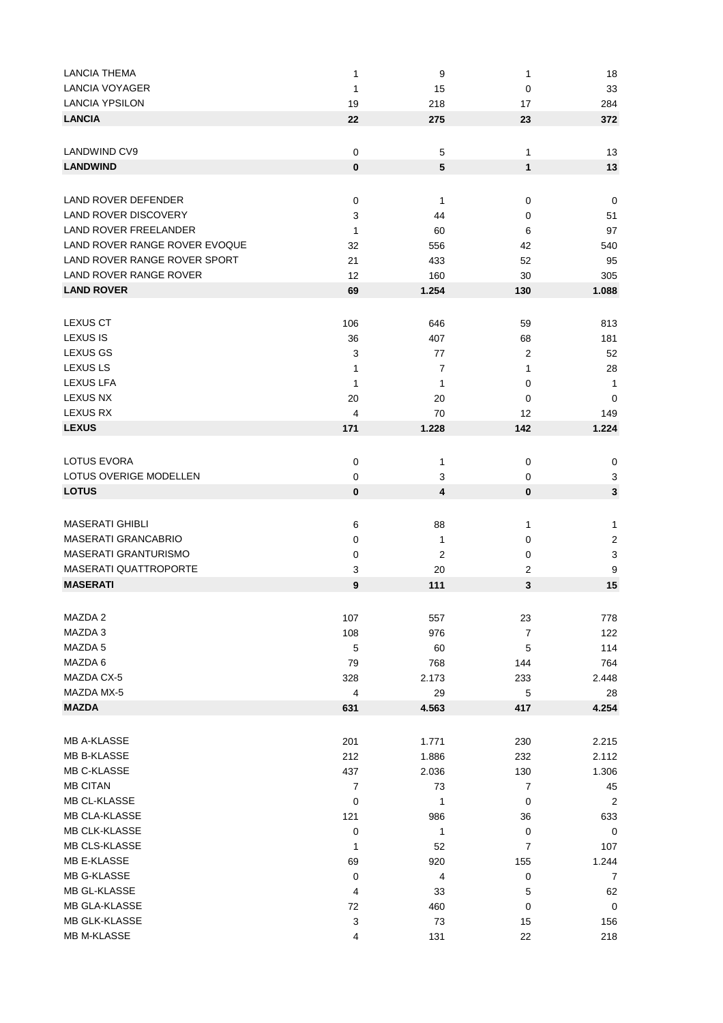| <b>LANCIA THEMA</b>           | 1                         | 9              | 1                | 18               |
|-------------------------------|---------------------------|----------------|------------------|------------------|
| <b>LANCIA VOYAGER</b>         | 1                         | 15             | 0                | 33               |
| <b>LANCIA YPSILON</b>         | 19                        | 218            | 17               | 284              |
| <b>LANCIA</b>                 | 22                        | 275            | 23               | 372              |
|                               |                           |                |                  |                  |
| <b>LANDWIND CV9</b>           | 0                         | 5              | 1                | 13               |
| <b>LANDWIND</b>               | $\pmb{0}$                 | 5              | 1                | 13               |
|                               |                           |                |                  |                  |
|                               |                           |                |                  |                  |
| <b>LAND ROVER DEFENDER</b>    | 0                         | 1              | 0                | 0                |
| <b>LAND ROVER DISCOVERY</b>   | 3                         | 44             | 0                | 51               |
| <b>LAND ROVER FREELANDER</b>  | 1                         | 60             | 6                | 97               |
| LAND ROVER RANGE ROVER EVOQUE | 32                        | 556            | 42               | 540              |
| LAND ROVER RANGE ROVER SPORT  | 21                        | 433            | 52               | 95               |
| LAND ROVER RANGE ROVER        | 12                        | 160            | 30               | 305              |
| <b>LAND ROVER</b>             | 69                        | 1.254          | 130              | 1.088            |
|                               |                           |                |                  |                  |
| <b>LEXUS CT</b>               | 106                       | 646            | 59               | 813              |
| LEXUS IS                      | 36                        | 407            | 68               | 181              |
| <b>LEXUS GS</b>               | 3                         | 77             | 2                | 52               |
| <b>LEXUS LS</b>               | 1                         | 7              | 1                | 28               |
|                               |                           |                |                  |                  |
| <b>LEXUS LFA</b>              | 1                         | 1              | 0                | 1                |
| <b>LEXUS NX</b>               | 20                        | 20             | 0                | 0                |
| <b>LEXUS RX</b>               | 4                         | 70             | 12               | 149              |
| <b>LEXUS</b>                  | 171                       | 1.228          | 142              | 1.224            |
|                               |                           |                |                  |                  |
| LOTUS EVORA                   | 0                         | 1              | 0                | 0                |
| LOTUS OVERIGE MODELLEN        | 0                         | 3              | 0                | 3                |
| <b>LOTUS</b>                  | 0                         | 4              | 0                | 3                |
|                               |                           |                |                  |                  |
| <b>MASERATI GHIBLI</b>        | 6                         | 88             | 1                | 1                |
| <b>MASERATI GRANCABRIO</b>    | 0                         | 1              | 0                | $\boldsymbol{2}$ |
| <b>MASERATI GRANTURISMO</b>   | 0                         | $\overline{2}$ | 0                | 3                |
| <b>MASERATI QUATTROPORTE</b>  | 3                         | 20             | 2                | 9                |
| <b>MASERATI</b>               | 9                         | 111            | 3                | 15               |
|                               |                           |                |                  |                  |
| MAZDA 2                       | 107                       | 557            | 23               | 778              |
| MAZDA 3                       |                           |                |                  |                  |
| MAZDA 5                       | 108                       | 976            | $\boldsymbol{7}$ | 122              |
|                               | 5                         | 60             | 5                | 114              |
| MAZDA 6                       | 79                        | 768            | 144              | 764              |
| MAZDA CX-5                    | 328                       | 2.173          | 233              | 2.448            |
| MAZDA MX-5                    | $\overline{\mathbf{4}}$   | 29             | 5                | 28               |
| <b>MAZDA</b>                  | 631                       | 4.563          | 417              | 4.254            |
|                               |                           |                |                  |                  |
| <b>MB A-KLASSE</b>            | 201                       | 1.771          | 230              | 2.215            |
| <b>MB B-KLASSE</b>            | 212                       | 1.886          | 232              | 2.112            |
| MB C-KLASSE                   | 437                       | 2.036          | 130              | 1.306            |
| <b>MB CITAN</b>               | $\overline{7}$            | 73             | 7                | 45               |
| MB CL-KLASSE                  | 0                         | 1              | 0                | 2                |
| MB CLA-KLASSE                 | 121                       | 986            | 36               | 633              |
| <b>MB CLK-KLASSE</b>          | 0                         | 1              | 0                | $\pmb{0}$        |
| MB CLS-KLASSE                 | 1                         | 52             | 7                | 107              |
| MB E-KLASSE                   | 69                        | 920            | 155              | 1.244            |
| MB G-KLASSE                   |                           |                |                  |                  |
|                               | $\mathbf 0$               | 4              | $\pmb{0}$        | $\overline{7}$   |
| MB GL-KLASSE                  | 4                         | 33             | 5                | 62               |
| MB GLA-KLASSE                 | 72                        | 460            | 0                | $\pmb{0}$        |
| MB GLK-KLASSE                 | $\ensuremath{\mathsf{3}}$ | 73             | 15               | 156              |
| MB M-KLASSE                   | 4                         | 131            | 22               | 218              |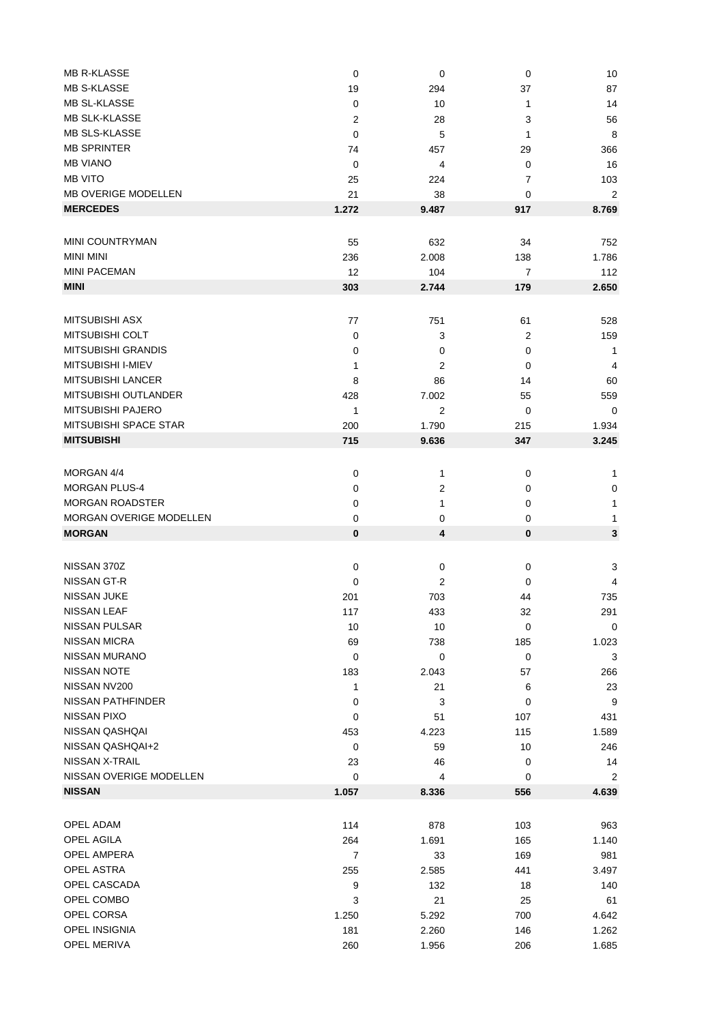| <b>MB R-KLASSE</b>             | 0              | 0              | $\mathbf 0$    | 10             |
|--------------------------------|----------------|----------------|----------------|----------------|
| <b>MB S-KLASSE</b>             | 19             | 294            | 37             | 87             |
| MB SL-KLASSE                   | 0              | 10             | 1              | 14             |
| <b>MB SLK-KLASSE</b>           | $\overline{2}$ | 28             | 3              | 56             |
| MB SLS-KLASSE                  | $\mathbf 0$    | 5              | 1              | 8              |
| <b>MB SPRINTER</b>             | 74             | 457            | 29             | 366            |
| <b>MB VIANO</b>                | $\mathbf 0$    | $\overline{4}$ | $\mathbf 0$    | 16             |
| <b>MB VITO</b>                 | 25             | 224            | 7              | 103            |
| <b>MB OVERIGE MODELLEN</b>     | 21             | 38             | 0              | $\overline{2}$ |
|                                |                |                |                |                |
| <b>MERCEDES</b>                | 1.272          | 9.487          | 917            | 8.769          |
|                                |                |                |                |                |
| MINI COUNTRYMAN                | 55             | 632            | 34             | 752            |
| <b>MINI MINI</b>               | 236            | 2.008          | 138            | 1.786          |
| <b>MINI PACEMAN</b>            | 12             | 104            | $\overline{7}$ | 112            |
| <b>MINI</b>                    | 303            | 2.744          | 179            | 2.650          |
|                                |                |                |                |                |
| <b>MITSUBISHI ASX</b>          | 77             | 751            | 61             | 528            |
| MITSUBISHI COLT                | 0              | 3              | $\overline{c}$ | 159            |
| <b>MITSUBISHI GRANDIS</b>      | 0              | 0              | 0              | $\mathbf{1}$   |
| MITSUBISHI I-MIEV              | 1              | 2              | 0              | 4              |
| <b>MITSUBISHI LANCER</b>       |                |                |                |                |
|                                | 8              | 86             | 14             | 60             |
| MITSUBISHI OUTLANDER           | 428            | 7.002          | 55             | 559            |
| MITSUBISHI PAJERO              | $\mathbf{1}$   | 2              | 0              | 0              |
| MITSUBISHI SPACE STAR          | 200            | 1.790          | 215            | 1.934          |
| <b>MITSUBISHI</b>              | 715            | 9.636          | 347            | 3.245          |
|                                |                |                |                |                |
| MORGAN 4/4                     | 0              | 1              | $\pmb{0}$      | $\mathbf{1}$   |
| <b>MORGAN PLUS-4</b>           | 0              | $\mathbf{2}$   | 0              | $\mathbf 0$    |
| <b>MORGAN ROADSTER</b>         | 0              | 1              | 0              | 1              |
| <b>MORGAN OVERIGE MODELLEN</b> | 0              | 0              | 0              | 1              |
| <b>MORGAN</b>                  | $\pmb{0}$      | 4              | $\bf{0}$       | 3              |
|                                |                |                |                |                |
|                                |                |                |                |                |
| NISSAN 370Z                    | 0              | 0              | $\pmb{0}$      | 3              |
| NISSAN GT-R                    | 0              | 2              | 0              | 4              |
| <b>NISSAN JUKE</b>             | 201            | 703            | 44             | 735            |
| NISSAN LEAF                    | 117            | 433            | 32             | 291            |
| <b>NISSAN PULSAR</b>           | 10             | 10             | 0              | 0              |
| <b>NISSAN MICRA</b>            | 69             | 738            | 185            | 1.023          |
| <b>NISSAN MURANO</b>           | 0              | $\pmb{0}$      | 0              | 3              |
| <b>NISSAN NOTE</b>             | 183            | 2.043          | 57             | 266            |
| NISSAN NV200                   | $\mathbf{1}$   | 21             | 6              | 23             |
| NISSAN PATHFINDER              | 0              | 3              | $\pmb{0}$      | $9\,$          |
| <b>NISSAN PIXO</b>             | 0              | 51             | 107            | 431            |
| NISSAN QASHQAI                 | 453            | 4.223          | 115            | 1.589          |
| NISSAN QASHQAI+2               | 0              | 59             | 10             | 246            |
| NISSAN X-TRAIL                 | 23             | 46             | 0              | 14             |
| NISSAN OVERIGE MODELLEN        | 0              | 4              | 0              | 2              |
| <b>NISSAN</b>                  |                |                |                |                |
|                                | 1.057          | 8.336          | 556            | 4.639          |
|                                |                |                |                |                |
| OPEL ADAM                      | 114            | 878            | 103            | 963            |
| OPEL AGILA                     | 264            | 1.691          | 165            | 1.140          |
| <b>OPEL AMPERA</b>             | $\overline{7}$ | 33             | 169            | 981            |
| <b>OPEL ASTRA</b>              | 255            | 2.585          | 441            | 3.497          |
| OPEL CASCADA                   | 9              | 132            | 18             | 140            |
| OPEL COMBO                     | 3              | 21             | 25             | 61             |
| OPEL CORSA                     | 1.250          | 5.292          | 700            | 4.642          |
| OPEL INSIGNIA                  | 181            | 2.260          | 146            | 1.262          |
| OPEL MERIVA                    | 260            | 1.956          | 206            | 1.685          |
|                                |                |                |                |                |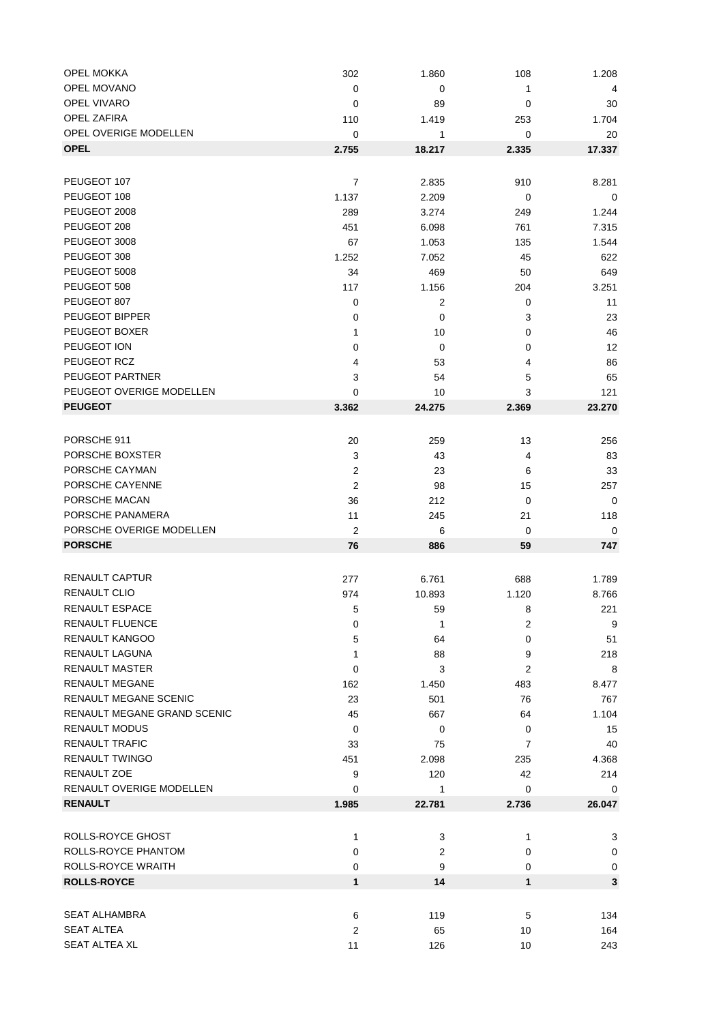| <b>OPEL MOKKA</b>           | 302            | 1.860          | 108            | 1.208  |
|-----------------------------|----------------|----------------|----------------|--------|
| OPEL MOVANO                 | 0              | 0              | 1              | 4      |
| OPEL VIVARO                 | 0              | 89             | 0              | 30     |
| OPEL ZAFIRA                 | 110            | 1.419          | 253            | 1.704  |
| OPEL OVERIGE MODELLEN       | 0              | 1              | 0              | 20     |
| <b>OPEL</b>                 | 2.755          | 18.217         | 2.335          | 17.337 |
|                             |                |                |                |        |
| PEUGEOT 107                 | $\overline{7}$ | 2.835          | 910            | 8.281  |
| PEUGEOT 108                 | 1.137          | 2.209          | 0              | 0      |
| PEUGEOT 2008                | 289            | 3.274          | 249            | 1.244  |
| PEUGEOT 208                 | 451            | 6.098          | 761            | 7.315  |
| PEUGEOT 3008                | 67             | 1.053          | 135            | 1.544  |
| PEUGEOT 308                 | 1.252          | 7.052          | 45             | 622    |
| PEUGEOT 5008                |                |                |                |        |
|                             | 34             | 469            | 50             | 649    |
| PEUGEOT 508                 | 117            | 1.156          | 204            | 3.251  |
| PEUGEOT 807                 | 0              | $\overline{2}$ | 0              | 11     |
| PEUGEOT BIPPER              | 0              | 0              | 3              | 23     |
| PEUGEOT BOXER               | 1              | 10             | 0              | 46     |
| PEUGEOT ION                 | 0              | 0              | 0              | 12     |
| PEUGEOT RCZ                 | 4              | 53             | 4              | 86     |
| PEUGEOT PARTNER             | 3              | 54             | 5              | 65     |
| PEUGEOT OVERIGE MODELLEN    | 0              | 10             | 3              | 121    |
| <b>PEUGEOT</b>              | 3.362          | 24.275         | 2.369          | 23.270 |
|                             |                |                |                |        |
| PORSCHE 911                 | 20             | 259            | 13             | 256    |
| PORSCHE BOXSTER             | 3              | 43             | 4              | 83     |
| PORSCHE CAYMAN              | $\overline{2}$ | 23             | 6              | 33     |
| PORSCHE CAYENNE             | $\overline{2}$ | 98             | 15             | 257    |
| PORSCHE MACAN               | 36             | 212            | $\mathbf 0$    | 0      |
| PORSCHE PANAMERA            | 11             | 245            | 21             | 118    |
| PORSCHE OVERIGE MODELLEN    | $\overline{2}$ | 6              | 0              | 0      |
| <b>PORSCHE</b>              | 76             | 886            | 59             | 747    |
|                             |                |                |                |        |
| RENAULT CAPTUR              | 277            | 6.761          | 688            | 1.789  |
| <b>RENAULT CLIO</b>         | 974            | 10.893         | 1.120          | 8.766  |
| <b>RENAULT ESPACE</b>       | 5              | 59             | 8              | 221    |
| <b>RENAULT FLUENCE</b>      | 0              | 1              | $\overline{c}$ | 9      |
| <b>RENAULT KANGOO</b>       | 5              | 64             | 0              | 51     |
| <b>RENAULT LAGUNA</b>       | $\mathbf{1}$   | 88             | 9              | 218    |
| <b>RENAULT MASTER</b>       |                | 3              |                |        |
| <b>RENAULT MEGANE</b>       | 0              |                | 2              | 8      |
| RENAULT MEGANE SCENIC       | 162            | 1.450          | 483            | 8.477  |
| RENAULT MEGANE GRAND SCENIC | 23             | 501            | 76             | 767    |
|                             | 45             | 667            | 64             | 1.104  |
| <b>RENAULT MODUS</b>        | 0              | 0              | 0              | 15     |
| <b>RENAULT TRAFIC</b>       | 33             | 75             | 7              | 40     |
| <b>RENAULT TWINGO</b>       | 451            | 2.098          | 235            | 4.368  |
| RENAULT ZOE                 | 9              | 120            | 42             | 214    |
| RENAULT OVERIGE MODELLEN    | 0              | 1              | 0              | 0      |
| <b>RENAULT</b>              | 1.985          | 22.781         | 2.736          | 26.047 |
|                             |                |                |                |        |
| ROLLS-ROYCE GHOST           | $\mathbf{1}$   | 3              | 1              | 3      |
| ROLLS-ROYCE PHANTOM         | 0              | $\overline{2}$ | 0              | 0      |
| ROLLS-ROYCE WRAITH          | 0              | 9              | 0              | 0      |
| <b>ROLLS-ROYCE</b>          | $\mathbf{1}$   | 14             | $\mathbf{1}$   | 3      |
|                             |                |                |                |        |
| <b>SEAT ALHAMBRA</b>        | 6              | 119            | 5              | 134    |
| <b>SEAT ALTEA</b>           | $\overline{2}$ | 65             | 10             | 164    |
| SEAT ALTEA XL               | 11             | 126            | 10             | 243    |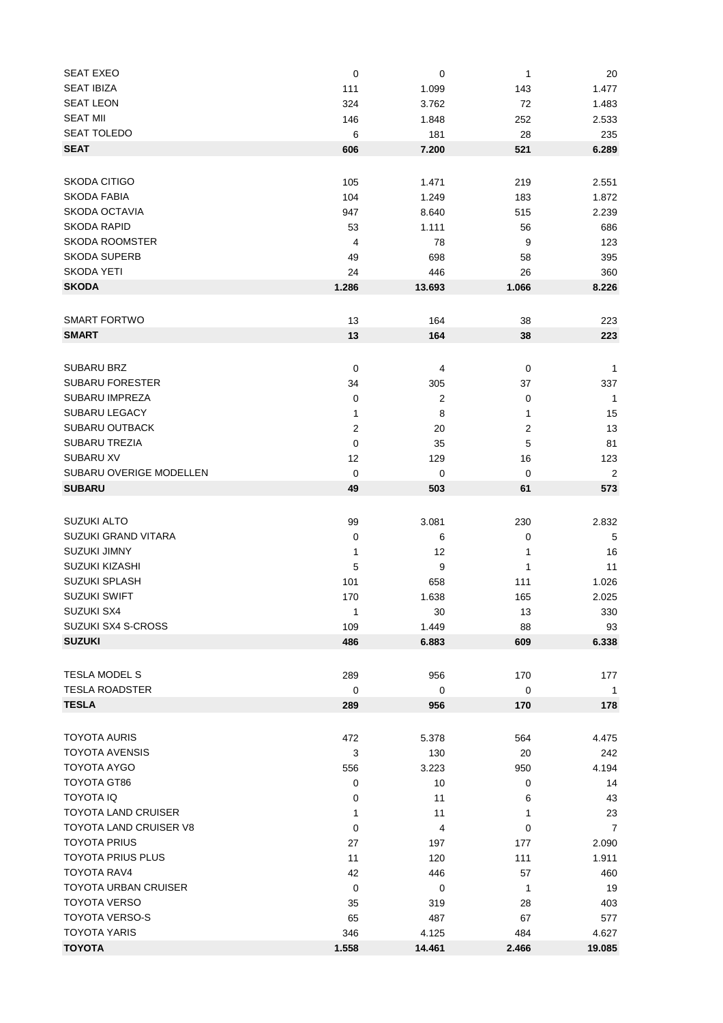| <b>SEAT EXEO</b>              | $\mathbf 0$             | $\pmb{0}$ | 1              | 20             |
|-------------------------------|-------------------------|-----------|----------------|----------------|
| <b>SEAT IBIZA</b>             | 111                     | 1.099     | 143            | 1.477          |
| <b>SEAT LEON</b>              | 324                     | 3.762     | 72             | 1.483          |
| <b>SEAT MII</b>               | 146                     | 1.848     | 252            | 2.533          |
| <b>SEAT TOLEDO</b>            | 6                       | 181       | 28             | 235            |
| <b>SEAT</b>                   | 606                     | 7.200     | 521            | 6.289          |
|                               |                         |           |                |                |
|                               |                         |           |                |                |
| SKODA CITIGO                  | 105                     | 1.471     | 219            | 2.551          |
| <b>SKODA FABIA</b>            | 104                     | 1.249     | 183            | 1.872          |
| <b>SKODA OCTAVIA</b>          | 947                     | 8.640     | 515            | 2.239          |
| <b>SKODA RAPID</b>            | 53                      | 1.111     | 56             | 686            |
| <b>SKODA ROOMSTER</b>         | 4                       | 78        | 9              | 123            |
| <b>SKODA SUPERB</b>           | 49                      | 698       | 58             | 395            |
| SKODA YETI                    | 24                      | 446       | 26             | 360            |
| <b>SKODA</b>                  | 1.286                   | 13.693    | 1.066          | 8.226          |
|                               |                         |           |                |                |
| <b>SMART FORTWO</b>           | 13                      | 164       | 38             | 223            |
| <b>SMART</b>                  | 13                      |           |                |                |
|                               |                         | 164       | 38             | 223            |
|                               |                         |           |                |                |
| <b>SUBARU BRZ</b>             | $\mathbf 0$             | 4         | $\pmb{0}$      | $\mathbf{1}$   |
| <b>SUBARU FORESTER</b>        | 34                      | 305       | 37             | 337            |
| <b>SUBARU IMPREZA</b>         | $\mathbf 0$             | 2         | 0              | $\overline{1}$ |
| <b>SUBARU LEGACY</b>          | 1                       | 8         | 1              | 15             |
| <b>SUBARU OUTBACK</b>         | $\overline{\mathbf{c}}$ | 20        | $\overline{c}$ | 13             |
| <b>SUBARU TREZIA</b>          | $\mathbf 0$             | 35        | 5              | 81             |
| <b>SUBARU XV</b>              | 12                      | 129       | 16             | 123            |
| SUBARU OVERIGE MODELLEN       | 0                       | 0         | 0              | $\overline{2}$ |
| <b>SUBARU</b>                 | 49                      | 503       | 61             | 573            |
|                               |                         |           |                |                |
|                               |                         |           |                |                |
| <b>SUZUKI ALTO</b>            | 99                      | 3.081     | 230            | 2.832          |
| SUZUKI GRAND VITARA           | 0                       | 6         | 0              | 5              |
| <b>SUZUKI JIMNY</b>           | 1                       | 12        | 1              | 16             |
| <b>SUZUKI KIZASHI</b>         | 5                       | 9         | 1              | 11             |
| <b>SUZUKI SPLASH</b>          | 101                     | 658       | 111            | 1.026          |
| SUZUKI SWIFT                  | 170                     | 1.638     | 165            | 2.025          |
| SUZUKI SX4                    | $\mathbf{1}$            | 30        | 13             | 330            |
| SUZUKI SX4 S-CROSS            | 109                     | 1.449     | 88             | 93             |
| <b>SUZUKI</b>                 | 486                     | 6.883     | 609            | 6.338          |
|                               |                         |           |                |                |
| TESLA MODEL S                 | 289                     | 956       | 170            | 177            |
| <b>TESLA ROADSTER</b>         | 0                       | 0         | 0              | $\mathbf{1}$   |
| <b>TESLA</b>                  | 289                     | 956       | 170            | 178            |
|                               |                         |           |                |                |
|                               |                         |           |                |                |
| <b>TOYOTA AURIS</b>           | 472                     | 5.378     | 564            | 4.475          |
| <b>TOYOTA AVENSIS</b>         | 3                       | 130       | 20             | 242            |
| TOYOTA AYGO                   | 556                     | 3.223     | 950            | 4.194          |
| TOYOTA GT86                   | 0                       | 10        | 0              | 14             |
| <b>TOYOTA IQ</b>              | 0                       | 11        | 6              | 43             |
| <b>TOYOTA LAND CRUISER</b>    | 1                       | 11        | 1              | 23             |
| <b>TOYOTA LAND CRUISER V8</b> | 0                       | 4         | 0              | 7              |
| <b>TOYOTA PRIUS</b>           | 27                      | 197       | 177            | 2.090          |
| <b>TOYOTA PRIUS PLUS</b>      | 11                      | 120       | 111            | 1.911          |
| <b>TOYOTA RAV4</b>            | 42                      | 446       | 57             | 460            |
| <b>TOYOTA URBAN CRUISER</b>   | $\mathbf 0$             | 0         | $\mathbf{1}$   | 19             |
| <b>TOYOTA VERSO</b>           | 35                      | 319       | 28             | 403            |
| <b>TOYOTA VERSO-S</b>         |                         |           |                |                |
|                               | 65                      | 487       | 67             | 577            |
| <b>TOYOTA YARIS</b>           | 346                     | 4.125     | 484            | 4.627          |
| <b>TOYOTA</b>                 | 1.558                   | 14.461    | 2.466          | 19.085         |